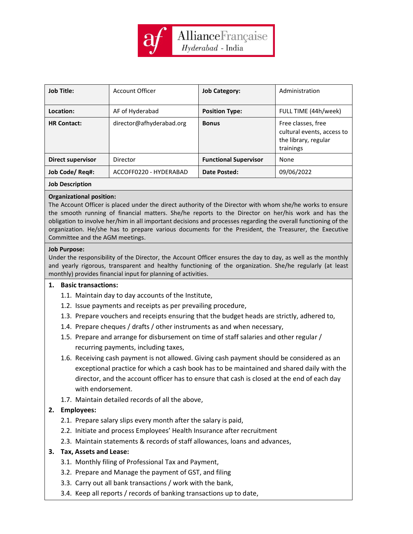

| <b>Job Title:</b>  | Account Officer          | <b>Job Category:</b>         | Administration                                                                        |
|--------------------|--------------------------|------------------------------|---------------------------------------------------------------------------------------|
| Location:          | AF of Hyderabad          | <b>Position Type:</b>        | FULL TIME (44h/week)                                                                  |
| <b>HR Contact:</b> | director@afhyderabad.org | <b>Bonus</b>                 | Free classes, free<br>cultural events, access to<br>the library, regular<br>trainings |
| Direct supervisor  | Director                 | <b>Functional Supervisor</b> | None                                                                                  |
| Job Code/ Req#:    | ACCOFF0220 - HYDERABAD   | Date Posted:                 | 09/06/2022                                                                            |
|                    |                          |                              |                                                                                       |

## **Job Description**

## **Organizational position:**

The Account Officer is placed under the direct authority of the Director with whom she/he works to ensure the smooth running of financial matters. She/he reports to the Director on her/his work and has the obligation to involve her/him in all important decisions and processes regarding the overall functioning of the organization. He/she has to prepare various documents for the President, the Treasurer, the Executive Committee and the AGM meetings.

## **Job Purpose:**

Under the responsibility of the Director, the Account Officer ensures the day to day, as well as the monthly and yearly rigorous, transparent and healthy functioning of the organization. She/he regularly (at least monthly) provides financial input for planning of activities.

# **1. Basic transactions:**

- 1.1. Maintain day to day accounts of the Institute,
- 1.2. Issue payments and receipts as per prevailing procedure,
- 1.3. Prepare vouchers and receipts ensuring that the budget heads are strictly, adhered to,
- 1.4. Prepare cheques / drafts / other instruments as and when necessary,
- 1.5. Prepare and arrange for disbursement on time of staff salaries and other regular / recurring payments, including taxes,
- 1.6. Receiving cash payment is not allowed. Giving cash payment should be considered as an exceptional practice for which a cash book has to be maintained and shared daily with the director, and the account officer has to ensure that cash is closed at the end of each day with endorsement.
- 1.7. Maintain detailed records of all the above,

# **2. Employees:**

- 2.1. Prepare salary slips every month after the salary is paid,
- 2.2. Initiate and process Employees' Health Insurance after recruitment
- 2.3. Maintain statements & records of staff allowances, loans and advances,
- **3. Tax, Assets and Lease:**
	- 3.1. Monthly filing of Professional Tax and Payment,
	- 3.2. Prepare and Manage the payment of GST, and filing
	- 3.3. Carry out all bank transactions / work with the bank,
	- 3.4. Keep all reports / records of banking transactions up to date,